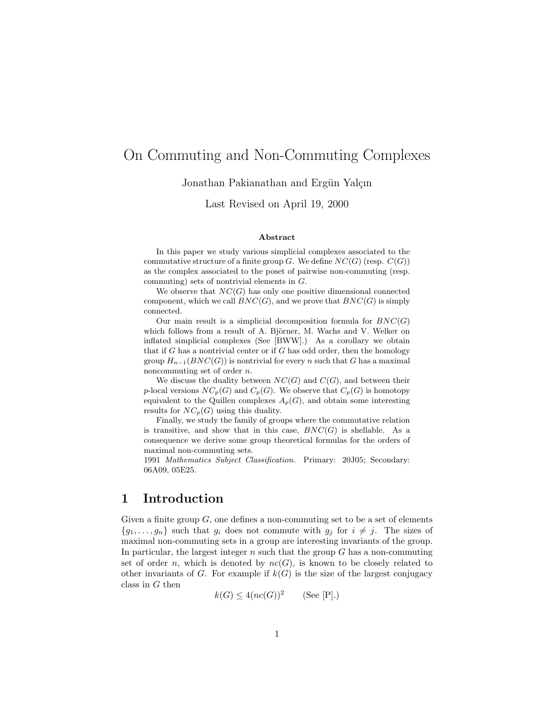# On Commuting and Non-Commuting Complexes

Jonathan Pakianathan and Ergün Yalçın

Last Revised on April 19, 2000

#### Abstract

In this paper we study various simplicial complexes associated to the commutative structure of a finite group G. We define  $NC(G)$  (resp.  $C(G)$ ) as the complex associated to the poset of pairwise non-commuting (resp. commuting) sets of nontrivial elements in G.

We observe that  $NC(G)$  has only one positive dimensional connected component, which we call  $BNC(G)$ , and we prove that  $BNC(G)$  is simply connected.

Our main result is a simplicial decomposition formula for  $BNC(G)$ which follows from a result of A. Björner, M. Wachs and V. Welker on inflated simplicial complexes (See [BWW].) As a corollary we obtain that if G has a nontrivial center or if G has odd order, then the homology group  $H_{n-1}(BNC(G))$  is nontrivial for every n such that G has a maximal noncommuting set of order n.

We discuss the duality between  $NC(G)$  and  $C(G)$ , and between their p-local versions  $NC_p(G)$  and  $C_p(G)$ . We observe that  $C_p(G)$  is homotopy equivalent to the Quillen complexes  $A_p(G)$ , and obtain some interesting results for  $NC_p(G)$  using this duality.

Finally, we study the family of groups where the commutative relation is transitive, and show that in this case,  $BNC(G)$  is shellable. As a consequence we derive some group theoretical formulas for the orders of maximal non-commuting sets.

1991 Mathematics Subject Classification. Primary: 20J05; Secondary: 06A09, 05E25.

## 1 Introduction

Given a finite group  $G$ , one defines a non-commuting set to be a set of elements  ${g_1, \ldots, g_n}$  such that  $g_i$  does not commute with  $g_j$  for  $i \neq j$ . The sizes of maximal non-commuting sets in a group are interesting invariants of the group. In particular, the largest integer  $n$  such that the group  $G$  has a non-commuting set of order n, which is denoted by  $nc(G)$ , is known to be closely related to other invariants of G. For example if  $k(G)$  is the size of the largest conjugacy class in G then

$$
k(G) \le 4(nc(G))^2 \qquad \text{(See [P].)}
$$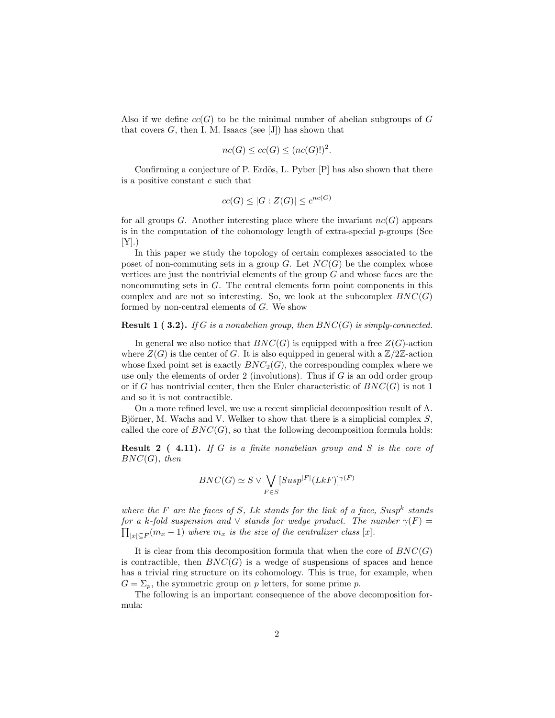Also if we define  $cc(G)$  to be the minimal number of abelian subgroups of G that covers  $G$ , then I. M. Isaacs (see [J]) has shown that

$$
nc(G) \le cc(G) \le (nc(G)!)^2
$$

.

Confirming a conjecture of P. Erdös, L. Pyber  $[P]$  has also shown that there is a positive constant  $c$  such that

$$
cc(G) \le |G : Z(G)| \le c^{nc(G)}
$$

for all groups G. Another interesting place where the invariant  $nc(G)$  appears is in the computation of the cohomology length of extra-special  $p$ -groups (See  $[Y]$ .)

In this paper we study the topology of certain complexes associated to the poset of non-commuting sets in a group  $G$ . Let  $NC(G)$  be the complex whose vertices are just the nontrivial elements of the group  $G$  and whose faces are the noncommuting sets in G. The central elements form point components in this complex and are not so interesting. So, we look at the subcomplex  $BNC(G)$ formed by non-central elements of G. We show

#### **Result 1 ( 3.2).** If G is a nonabelian group, then  $BNC(G)$  is simply-connected.

In general we also notice that  $BNC(G)$  is equipped with a free  $Z(G)$ -action where  $Z(G)$  is the center of G. It is also equipped in general with a  $\mathbb{Z}/2\mathbb{Z}$ -action whose fixed point set is exactly  $BNC_2(G)$ , the corresponding complex where we use only the elements of order 2 (involutions). Thus if  $G$  is an odd order group or if G has nontrivial center, then the Euler characteristic of  $BNC(G)$  is not 1 and so it is not contractible.

On a more refined level, we use a recent simplicial decomposition result of A. Björner, M. Wachs and V. Welker to show that there is a simplicial complex  $S$ , called the core of  $BNC(G)$ , so that the following decomposition formula holds:

**Result 2** (4.11). If G is a finite nonabelian group and S is the core of  $BNC(G)$ , then

$$
BNC(G) \simeq S \vee \bigvee_{F \in S} [Susp|F| (LkF)]^{\gamma(F)}
$$

where the F are the faces of S, Lk stands for the link of a face,  $Susp^k$  stands for a k-fold suspension and  $\vee$  stands for wedge product. The number  $\gamma(F) = \nabla$  $\lim_{|x| \subseteq F} (m_x - 1)$  where  $m_x$  is the size of the centralizer class [x].

It is clear from this decomposition formula that when the core of  $BNC(G)$ is contractible, then  $BNC(G)$  is a wedge of suspensions of spaces and hence has a trivial ring structure on its cohomology. This is true, for example, when  $G = \Sigma_p$ , the symmetric group on p letters, for some prime p.

The following is an important consequence of the above decomposition formula: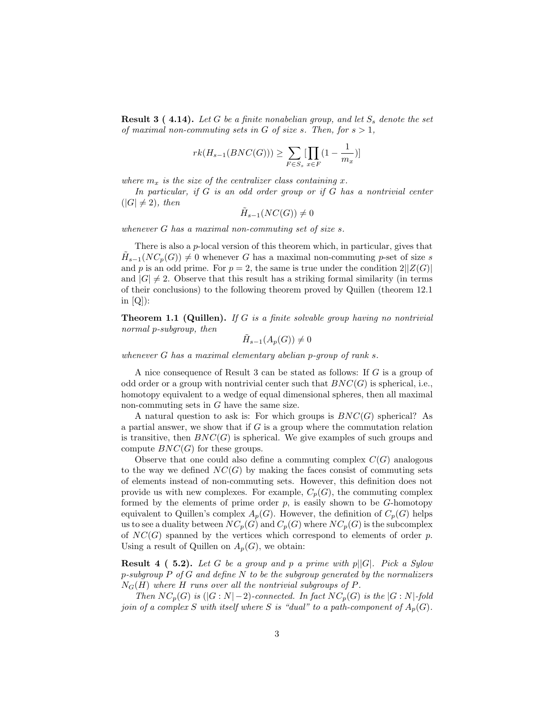**Result 3 (4.14).** Let G be a finite nonabelian group, and let  $S_s$  denote the set of maximal non-commuting sets in G of size s. Then, for  $s > 1$ ,

$$
rk(H_{s-1}(BNC(G))) \ge \sum_{F \in S_s} [\prod_{x \in F} (1 - \frac{1}{m_x})]
$$

where  $m_x$  is the size of the centralizer class containing x.

In particular, if G is an odd order group or if G has a nontrivial center  $(|G| \neq 2)$ , then

 $\tilde{H}_{s-1}(NC(G))\neq 0$ 

whenever G has a maximal non-commuting set of size s.

There is also a p-local version of this theorem which, in particular, gives that  $\widetilde{H}_{s-1}(NC_p(G)) \neq 0$  whenever G has a maximal non-commuting p-set of size s and p is an odd prime. For  $p = 2$ , the same is true under the condition  $2||Z(G)|$ and  $|G| \neq 2$ . Observe that this result has a striking formal similarity (in terms of their conclusions) to the following theorem proved by Quillen (theorem 12.1 in  $|Q|$ :

**Theorem 1.1 (Quillen).** If G is a finite solvable group having no nontrivial normal p-subgroup, then

$$
\tilde{H}_{s-1}(A_p(G)) \neq 0
$$

whenever  $G$  has a maximal elementary abelian p-group of rank  $s$ .

A nice consequence of Result 3 can be stated as follows: If G is a group of odd order or a group with nontrivial center such that  $BNC(G)$  is spherical, i.e., homotopy equivalent to a wedge of equal dimensional spheres, then all maximal non-commuting sets in  $G$  have the same size.

A natural question to ask is: For which groups is  $BNC(G)$  spherical? As a partial answer, we show that if  $G$  is a group where the commutation relation is transitive, then  $BNC(G)$  is spherical. We give examples of such groups and compute  $BNC(G)$  for these groups.

Observe that one could also define a commuting complex  $C(G)$  analogous to the way we defined  $NC(G)$  by making the faces consist of commuting sets of elements instead of non-commuting sets. However, this definition does not provide us with new complexes. For example,  $C_p(G)$ , the commuting complex formed by the elements of prime order  $p$ , is easily shown to be  $G$ -homotopy equivalent to Quillen's complex  $A_p(G)$ . However, the definition of  $C_p(G)$  helps us to see a duality between  $NC_p(G)$  and  $C_p(G)$  where  $NC_p(G)$  is the subcomplex of  $NC(G)$  spanned by the vertices which correspond to elements of order p. Using a result of Quillen on  $A_p(G)$ , we obtain:

**Result 4 ( 5.2).** Let G be a group and p a prime with  $p||G|$ . Pick a Sylow  $p$ -subgroup P of G and define N to be the subgroup generated by the normalizers  $N_G(H)$  where H runs over all the nontrivial subgroups of P.

Then  $NC_p(G)$  is  $(|G:N|-2)$ -connected. In fact  $NC_p(G)$  is the  $|G:N|$ -fold join of a complex S with itself where S is "dual" to a path-component of  $A_p(G)$ .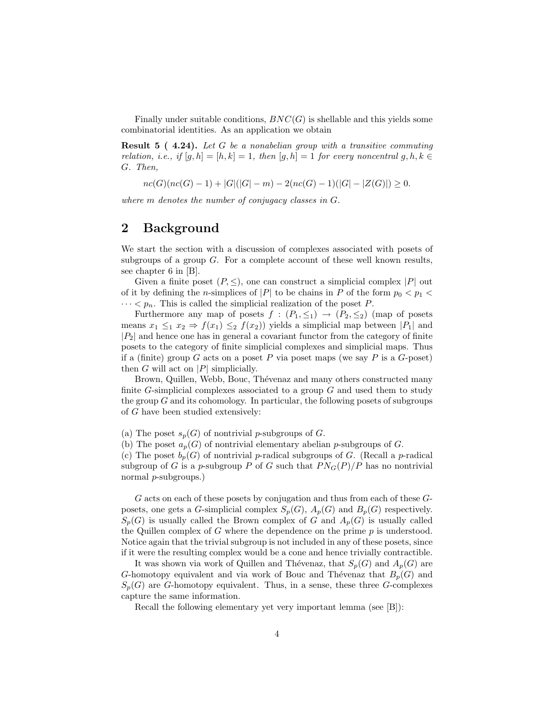Finally under suitable conditions,  $BNC(G)$  is shellable and this yields some combinatorial identities. As an application we obtain

Result 5 ( 4.24). Let G be a nonabelian group with a transitive commuting relation, i.e., if  $[g, h] = [h, k] = 1$ , then  $[g, h] = 1$  for every noncentral  $g, h, k \in$ G. Then,

$$
nc(G)(nc(G)-1) + |G|(|G|-m) - 2(nc(G)-1)(|G| - |Z(G)|) \ge 0.
$$

where m denotes the number of conjugacy classes in G.

# 2 Background

We start the section with a discussion of complexes associated with posets of subgroups of a group  $G$ . For a complete account of these well known results, see chapter 6 in [B].

Given a finite poset  $(P, \leq)$ , one can construct a simplicial complex  $|P|$  out of it by defining the *n*-simplices of |P| to be chains in P of the form  $p_0 < p_1 <$  $\cdots < p_n$ . This is called the simplicial realization of the poset P.

Furthermore any map of posets  $f : (P_1, \leq_1) \rightarrow (P_2, \leq_2)$  (map of posets means  $x_1 \leq_1 x_2 \Rightarrow f(x_1) \leq_2 f(x_2)$  yields a simplicial map between  $|P_1|$  and  $|P_2|$  and hence one has in general a covariant functor from the category of finite posets to the category of finite simplicial complexes and simplicial maps. Thus if a (finite) group G acts on a poset P via poset maps (we say P is a  $G$ -poset) then G will act on  $|P|$  simplicially.

Brown, Quillen, Webb, Bouc, Thévenaz and many others constructed many finite  $G$ -simplicial complexes associated to a group  $G$  and used them to study the group  $G$  and its cohomology. In particular, the following posets of subgroups of G have been studied extensively:

(a) The poset  $s_p(G)$  of nontrivial p-subgroups of G.

(b) The poset  $a_p(G)$  of nontrivial elementary abelian p-subgroups of G.

(c) The poset  $b_p(G)$  of nontrivial p-radical subgroups of G. (Recall a p-radical subgroup of G is a p-subgroup P of G such that  $PN<sub>G</sub>(P)/P$  has no nontrivial normal p-subgroups.)

G acts on each of these posets by conjugation and thus from each of these Gposets, one gets a G-simplicial complex  $S_p(G)$ ,  $A_p(G)$  and  $B_p(G)$  respectively.  $S_p(G)$  is usually called the Brown complex of G and  $A_p(G)$  is usually called the Quillen complex of G where the dependence on the prime  $p$  is understood. Notice again that the trivial subgroup is not included in any of these posets, since if it were the resulting complex would be a cone and hence trivially contractible.

It was shown via work of Quillen and Thévenaz, that  $S_p(G)$  and  $A_p(G)$  are G-homotopy equivalent and via work of Bouc and Thévenaz that  $B_p(G)$  and  $S_p(G)$  are G-homotopy equivalent. Thus, in a sense, these three G-complexes capture the same information.

Recall the following elementary yet very important lemma (see [B]):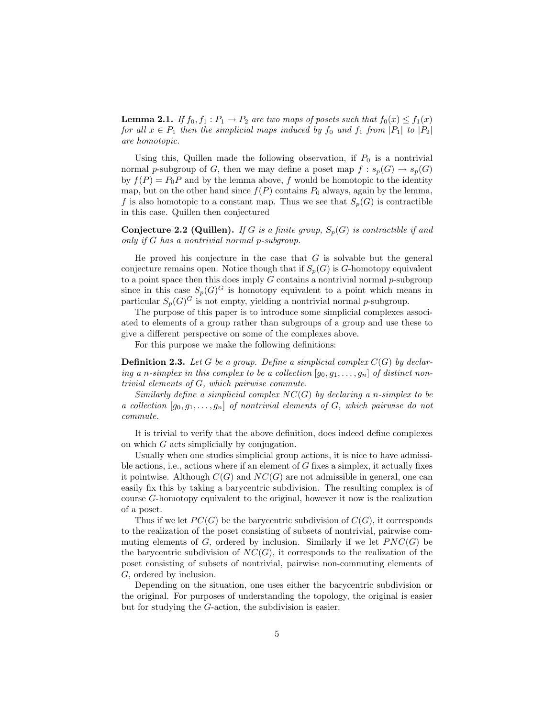**Lemma 2.1.** If  $f_0, f_1 : P_1 \to P_2$  are two maps of posets such that  $f_0(x) \le f_1(x)$ for all  $x \in P_1$  then the simplicial maps induced by  $f_0$  and  $f_1$  from  $|P_1|$  to  $|P_2|$ are homotopic.

Using this, Quillen made the following observation, if  $P_0$  is a nontrivial normal p-subgroup of G, then we may define a poset map  $f : s_p(G) \to s_p(G)$ by  $f(P) = P_0P$  and by the lemma above, f would be homotopic to the identity map, but on the other hand since  $f(P)$  contains  $P_0$  always, again by the lemma, f is also homotopic to a constant map. Thus we see that  $S_p(G)$  is contractible in this case. Quillen then conjectured

**Conjecture 2.2 (Quillen).** If G is a finite group,  $S_n(G)$  is contractible if and only if G has a nontrivial normal p-subgroup.

He proved his conjecture in the case that  $G$  is solvable but the general conjecture remains open. Notice though that if  $S_p(G)$  is G-homotopy equivalent to a point space then this does imply  $G$  contains a nontrivial normal  $p$ -subgroup since in this case  $S_p(G)^G$  is homotopy equivalent to a point which means in particular  $S_p(G)^G$  is not empty, yielding a nontrivial normal p-subgroup.

The purpose of this paper is to introduce some simplicial complexes associated to elements of a group rather than subgroups of a group and use these to give a different perspective on some of the complexes above.

For this purpose we make the following definitions:

**Definition 2.3.** Let G be a group. Define a simplicial complex  $C(G)$  by declaring a n-simplex in this complex to be a collection  $[g_0, g_1, \ldots, g_n]$  of distinct nontrivial elements of G, which pairwise commute.

Similarly define a simplicial complex  $NC(G)$  by declaring a n-simplex to be a collection  $[g_0, g_1, \ldots, g_n]$  of nontrivial elements of G, which pairwise do not commute.

It is trivial to verify that the above definition, does indeed define complexes on which G acts simplicially by conjugation.

Usually when one studies simplicial group actions, it is nice to have admissible actions, i.e., actions where if an element of  $G$  fixes a simplex, it actually fixes it pointwise. Although  $C(G)$  and  $NC(G)$  are not admissible in general, one can easily fix this by taking a barycentric subdivision. The resulting complex is of course G-homotopy equivalent to the original, however it now is the realization of a poset.

Thus if we let  $PC(G)$  be the barycentric subdivision of  $C(G)$ , it corresponds to the realization of the poset consisting of subsets of nontrivial, pairwise commuting elements of  $G$ , ordered by inclusion. Similarly if we let  $PNC(G)$  be the barycentric subdivision of  $NC(G)$ , it corresponds to the realization of the poset consisting of subsets of nontrivial, pairwise non-commuting elements of G, ordered by inclusion.

Depending on the situation, one uses either the barycentric subdivision or the original. For purposes of understanding the topology, the original is easier but for studying the G-action, the subdivision is easier.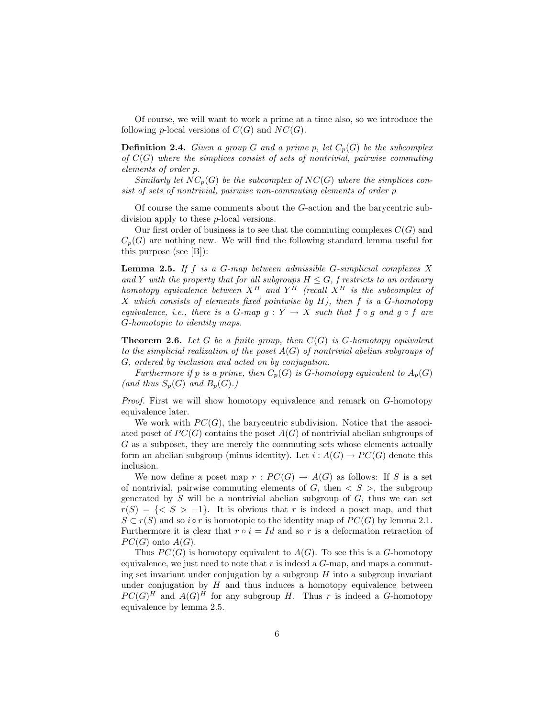Of course, we will want to work a prime at a time also, so we introduce the following p-local versions of  $C(G)$  and  $NC(G)$ .

**Definition 2.4.** Given a group G and a prime p, let  $C_p(G)$  be the subcomplex of  $C(G)$  where the simplices consist of sets of nontrivial, pairwise commuting elements of order p.

Similarly let  $NC_p(G)$  be the subcomplex of  $NC(G)$  where the simplices consist of sets of nontrivial, pairwise non-commuting elements of order p

Of course the same comments about the G-action and the barycentric subdivision apply to these p-local versions.

Our first order of business is to see that the commuting complexes  $C(G)$  and  $C_n(G)$  are nothing new. We will find the following standard lemma useful for this purpose (see [B]):

**Lemma 2.5.** If f is a  $G$ -map between admissible  $G$ -simplicial complexes  $X$ and Y with the property that for all subgroups  $H \leq G$ , f restricts to an ordinary homotopy equivalence between  $X^H$  and  $Y^H$  (recall  $X^H$  is the subcomplex of X which consists of elements fixed pointwise by  $H$ ), then f is a G-homotopy equivalence, i.e., there is a G-map  $g: Y \to X$  such that  $f \circ g$  and  $g \circ f$  are G-homotopic to identity maps.

**Theorem 2.6.** Let G be a finite group, then  $C(G)$  is G-homotopy equivalent to the simplicial realization of the poset  $A(G)$  of nontrivial abelian subgroups of G, ordered by inclusion and acted on by conjugation.

Furthermore if p is a prime, then  $C_p(G)$  is G-homotopy equivalent to  $A_p(G)$ (and thus  $S_p(G)$  and  $B_p(G)$ .)

Proof. First we will show homotopy equivalence and remark on G-homotopy equivalence later.

We work with  $PC(G)$ , the barycentric subdivision. Notice that the associated poset of  $PC(G)$  contains the poset  $A(G)$  of nontrivial abelian subgroups of G as a subposet, they are merely the commuting sets whose elements actually form an abelian subgroup (minus identity). Let  $i : A(G) \rightarrow PC(G)$  denote this inclusion.

We now define a poset map  $r: PC(G) \to A(G)$  as follows: If S is a set of nontrivial, pairwise commuting elements of  $G$ , then  $\langle S \rangle$ , the subgroup generated by  $S$  will be a nontrivial abelian subgroup of  $G$ , thus we can set  $r(S) = \{ \langle S \rangle -1 \}.$  It is obvious that r is indeed a poset map, and that  $S \subset r(S)$  and so i ∘ r is homotopic to the identity map of  $PC(G)$  by lemma 2.1. Furthermore it is clear that  $r \circ i = Id$  and so r is a deformation retraction of  $PC(G)$  onto  $A(G)$ .

Thus  $PC(G)$  is homotopy equivalent to  $A(G)$ . To see this is a G-homotopy equivalence, we just need to note that  $r$  is indeed a  $G$ -map, and maps a commuting set invariant under conjugation by a subgroup  $H$  into a subgroup invariant under conjugation by  $H$  and thus induces a homotopy equivalence between  $PC(G)^H$  and  $A(G)^H$  for any subgroup H. Thus r is indeed a G-homotopy equivalence by lemma 2.5.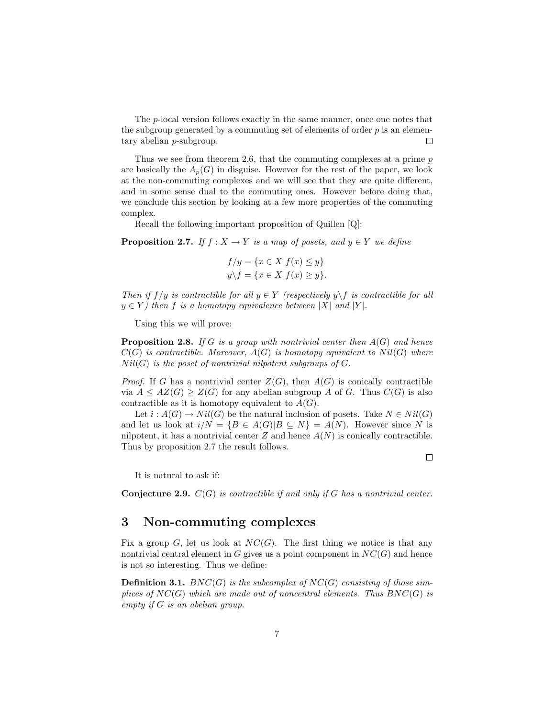The p-local version follows exactly in the same manner, once one notes that the subgroup generated by a commuting set of elements of order  $p$  is an elementary abelian p-subgroup.  $\Box$ 

Thus we see from theorem 2.6, that the commuting complexes at a prime  $p$ are basically the  $A_p(G)$  in disguise. However for the rest of the paper, we look at the non-commuting complexes and we will see that they are quite different, and in some sense dual to the commuting ones. However before doing that, we conclude this section by looking at a few more properties of the commuting complex.

Recall the following important proposition of Quillen [Q]:

**Proposition 2.7.** If  $f : X \to Y$  is a map of posets, and  $y \in Y$  we define

$$
f/y = \{x \in X | f(x) \le y\}
$$
  

$$
y \backslash f = \{x \in X | f(x) \ge y\}.
$$

Then if  $f/y$  is contractible for all  $y \in Y$  (respectively  $y \backslash f$  is contractible for all  $y \in Y$ ) then f is a homotopy equivalence between |X| and |Y|.

Using this we will prove:

**Proposition 2.8.** If G is a group with nontrivial center then  $A(G)$  and hence  $C(G)$  is contractible. Moreover,  $A(G)$  is homotopy equivalent to  $Nil(G)$  where  $Nil(G)$  is the poset of nontrivial nilpotent subgroups of  $G$ .

*Proof.* If G has a nontrivial center  $Z(G)$ , then  $A(G)$  is conically contractible via  $A \leq AZ(G) \geq Z(G)$  for any abelian subgroup A of G. Thus  $C(G)$  is also contractible as it is homotopy equivalent to  $A(G)$ .

Let  $i : A(G) \to Nil(G)$  be the natural inclusion of posets. Take  $N \in Nil(G)$ and let us look at  $i/N = {B \in A(G)|B \subseteq N} = A(N)$ . However since N is nilpotent, it has a nontrivial center  $Z$  and hence  $A(N)$  is conically contractible. Thus by proposition 2.7 the result follows.

It is natural to ask if:

**Conjecture 2.9.**  $C(G)$  is contractible if and only if G has a nontrivial center.

### 3 Non-commuting complexes

Fix a group G, let us look at  $NC(G)$ . The first thing we notice is that any nontrivial central element in  $G$  gives us a point component in  $NC(G)$  and hence is not so interesting. Thus we define:

**Definition 3.1.** BNC(G) is the subcomplex of NC(G) consisting of those simplices of  $NC(G)$  which are made out of noncentral elements. Thus  $BNC(G)$  is empty if G is an abelian group.

7

 $\Box$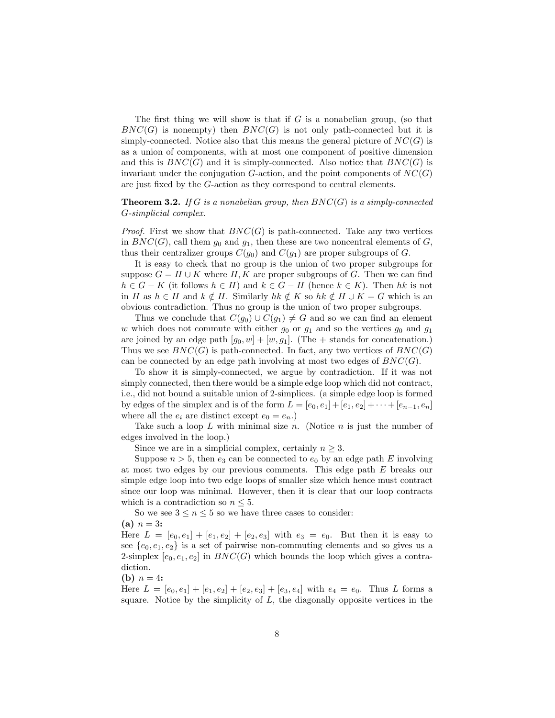The first thing we will show is that if  $G$  is a nonabelian group, (so that  $BNC(G)$  is nonempty) then  $BNC(G)$  is not only path-connected but it is simply-connected. Notice also that this means the general picture of  $NC(G)$  is as a union of components, with at most one component of positive dimension and this is  $BNC(G)$  and it is simply-connected. Also notice that  $BNC(G)$  is invariant under the conjugation  $G$ -action, and the point components of  $NC(G)$ are just fixed by the G-action as they correspond to central elements.

#### **Theorem 3.2.** If G is a nonabelian group, then  $BNC(G)$  is a simply-connected G-simplicial complex.

*Proof.* First we show that  $BNC(G)$  is path-connected. Take any two vertices in  $BNC(G)$ , call them  $g_0$  and  $g_1$ , then these are two noncentral elements of G, thus their centralizer groups  $C(g_0)$  and  $C(g_1)$  are proper subgroups of G.

It is easy to check that no group is the union of two proper subgroups for suppose  $G = H \cup K$  where H, K are proper subgroups of G. Then we can find  $h \in G - K$  (it follows  $h \in H$ ) and  $k \in G - H$  (hence  $k \in K$ ). Then hk is not in H as  $h \in H$  and  $k \notin H$ . Similarly  $hk \notin K$  so  $hk \notin H \cup K = G$  which is an obvious contradiction. Thus no group is the union of two proper subgroups.

Thus we conclude that  $C(g_0) \cup C(g_1) \neq G$  and so we can find an element w which does not commute with either  $g_0$  or  $g_1$  and so the vertices  $g_0$  and  $g_1$ are joined by an edge path  $[g_0, w] + [w, g_1]$ . (The + stands for concatenation.) Thus we see  $BNC(G)$  is path-connected. In fact, any two vertices of  $BNC(G)$ can be connected by an edge path involving at most two edges of  $BNC(G)$ .

To show it is simply-connected, we argue by contradiction. If it was not simply connected, then there would be a simple edge loop which did not contract, i.e., did not bound a suitable union of 2-simplices. (a simple edge loop is formed by edges of the simplex and is of the form  $L = [e_0, e_1] + [e_1, e_2] + \cdots + [e_{n-1}, e_n]$ where all the  $e_i$  are distinct except  $e_0 = e_n$ .

Take such a loop L with minimal size n. (Notice n is just the number of edges involved in the loop.)

Since we are in a simplicial complex, certainly  $n \geq 3$ .

Suppose  $n > 5$ , then  $e_3$  can be connected to  $e_0$  by an edge path E involving at most two edges by our previous comments. This edge path E breaks our simple edge loop into two edge loops of smaller size which hence must contract since our loop was minimal. However, then it is clear that our loop contracts which is a contradiction so  $n \leq 5$ .

So we see  $3 \leq n \leq 5$  so we have three cases to consider:

(a)  $n = 3$ :

Here  $L = [e_0, e_1] + [e_1, e_2] + [e_2, e_3]$  with  $e_3 = e_0$ . But then it is easy to see  ${e_0, e_1, e_2}$  is a set of pairwise non-commuting elements and so gives us a 2-simplex  $[e_0, e_1, e_2]$  in  $BNC(G)$  which bounds the loop which gives a contradiction.

(**b**)  $n = 4$ :

Here  $L = [e_0, e_1] + [e_1, e_2] + [e_2, e_3] + [e_3, e_4]$  with  $e_4 = e_0$ . Thus L forms a square. Notice by the simplicity of  $L$ , the diagonally opposite vertices in the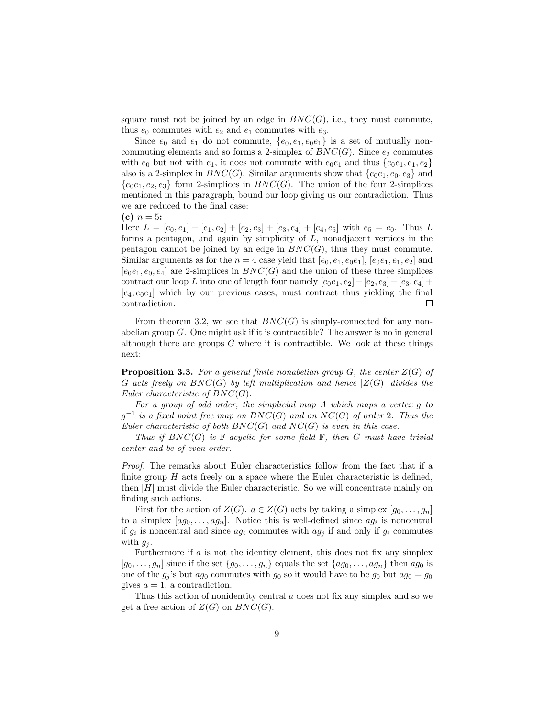square must not be joined by an edge in  $BNC(G)$ , i.e., they must commute, thus  $e_0$  commutes with  $e_2$  and  $e_1$  commutes with  $e_3$ .

Since  $e_0$  and  $e_1$  do not commute,  $\{e_0, e_1, e_0e_1\}$  is a set of mutually noncommuting elements and so forms a 2-simplex of  $BNC(G)$ . Since  $e_2$  commutes with  $e_0$  but not with  $e_1$ , it does not commute with  $e_0e_1$  and thus  $\{e_0e_1, e_1, e_2\}$ also is a 2-simplex in  $BNC(G)$ . Similar arguments show that  ${e_0e_1, e_0, e_3}$  and  ${e_0e_1, e_2, e_3}$  form 2-simplices in  $BNC(G)$ . The union of the four 2-simplices mentioned in this paragraph, bound our loop giving us our contradiction. Thus we are reduced to the final case:

(c)  $n = 5$ :

Here  $L = [e_0, e_1] + [e_1, e_2] + [e_2, e_3] + [e_3, e_4] + [e_4, e_5]$  with  $e_5 = e_0$ . Thus L forms a pentagon, and again by simplicity of  $L$ , nonadjacent vertices in the pentagon cannot be joined by an edge in  $BNC(G)$ , thus they must commute. Similar arguments as for the  $n = 4$  case yield that  $[e_0, e_1, e_0, e_1]$ ,  $[e_0, e_1, e_2]$  and  $[e_0e_1, e_0, e_4]$  are 2-simplices in  $BNC(G)$  and the union of these three simplices contract our loop L into one of length four namely  $[e_0e_1, e_2] + [e_2, e_3] + [e_3, e_4] +$  $[e_4, e_0e_1]$  which by our previous cases, must contract thus yielding the final contradiction.  $\Box$ 

From theorem 3.2, we see that  $BNC(G)$  is simply-connected for any nonabelian group  $G$ . One might ask if it is contractible? The answer is no in general although there are groups  $G$  where it is contractible. We look at these things next:

**Proposition 3.3.** For a general finite nonabelian group  $G$ , the center  $Z(G)$  of G acts freely on  $BNC(G)$  by left multiplication and hence  $|Z(G)|$  divides the Euler characteristic of  $BNC(G)$ .

For a group of odd order, the simplicial map A which maps a vertex g to  $g^{-1}$  is a fixed point free map on  $BNC(G)$  and on  $NC(G)$  of order 2. Thus the Euler characteristic of both  $BNC(G)$  and  $NC(G)$  is even in this case.

Thus if  $BNC(G)$  is F-acyclic for some field F, then G must have trivial center and be of even order.

Proof. The remarks about Euler characteristics follow from the fact that if a finite group  $H$  acts freely on a space where the Euler characteristic is defined, then  $|H|$  must divide the Euler characteristic. So we will concentrate mainly on finding such actions.

First for the action of  $Z(G)$ .  $a \in Z(G)$  acts by taking a simplex  $[g_0, \ldots, g_n]$ to a simplex  $[ag_0, \ldots, ag_n]$ . Notice this is well-defined since  $ag_i$  is noncentral if  $g_i$  is noncentral and since  $ag_i$  commutes with  $ag_j$  if and only if  $g_i$  commutes with  $q_i$ .

Furthermore if  $a$  is not the identity element, this does not fix any simplex  $[g_0, \ldots, g_n]$  since if the set  $\{g_0, \ldots, g_n\}$  equals the set  $\{ag_0, \ldots, ag_n\}$  then  $ag_0$  is one of the  $g_j$ 's but  $ag_0$  commutes with  $g_0$  so it would have to be  $g_0$  but  $ag_0 = g_0$ gives  $a = 1$ , a contradiction.

Thus this action of nonidentity central a does not fix any simplex and so we get a free action of  $Z(G)$  on  $BNC(G)$ .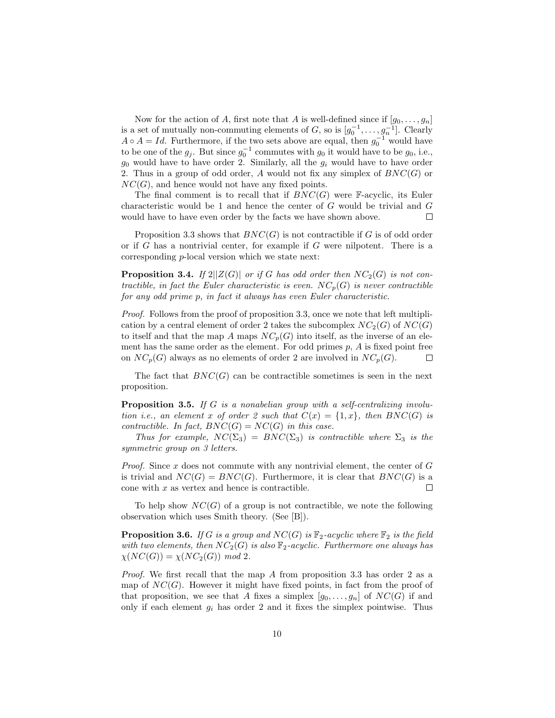Now for the action of A, first note that A is well-defined since if  $[g_0, \ldots, g_n]$ is a set of mutually non-commuting elements of G, so is  $[g_0^{-1}, \ldots, g_n^{-1}]$ . Clearly  $A \circ A = Id$ . Furthermore, if the two sets above are equal, then  $g_0^{-1}$  would have to be one of the  $g_j$ . But since  $g_0^{-1}$  commutes with  $g_0$  it would have to be  $g_0$ , i.e.,  $g_0$  would have to have order 2. Similarly, all the  $g_i$  would have to have order 2. Thus in a group of odd order, A would not fix any simplex of  $BNC(G)$  or  $NC(G)$ , and hence would not have any fixed points.

The final comment is to recall that if  $BNC(G)$  were F-acyclic, its Euler characteristic would be 1 and hence the center of G would be trivial and G would have to have even order by the facts we have shown above.  $\Box$ 

Proposition 3.3 shows that  $BNC(G)$  is not contractible if G is of odd order or if G has a nontrivial center, for example if  $G$  were nilpotent. There is a corresponding p-local version which we state next:

**Proposition 3.4.** If  $2||Z(G)|$  or if G has odd order then  $NC_2(G)$  is not contractible, in fact the Euler characteristic is even.  $NC_p(G)$  is never contractible for any odd prime p, in fact it always has even Euler characteristic.

Proof. Follows from the proof of proposition 3.3, once we note that left multiplication by a central element of order 2 takes the subcomplex  $NC_2(G)$  of  $NC(G)$ to itself and that the map A maps  $NC_p(G)$  into itself, as the inverse of an element has the same order as the element. For odd primes  $p$ ,  $\tilde{A}$  is fixed point free on  $NC_p(G)$  always as no elements of order 2 are involved in  $NC_p(G)$ .  $\Box$ 

The fact that  $BNC(G)$  can be contractible sometimes is seen in the next proposition.

Proposition 3.5. If G is a nonabelian group with a self-centralizing involution i.e., an element x of order 2 such that  $C(x) = \{1, x\}$ , then BNC(G) is contractible. In fact,  $BNC(G) = NC(G)$  in this case.

Thus for example,  $NC(\Sigma_3) = BNC(\Sigma_3)$  is contractible where  $\Sigma_3$  is the symmetric group on 3 letters.

*Proof.* Since x does not commute with any nontrivial element, the center of  $G$ is trivial and  $NC(G) = BNC(G)$ . Furthermore, it is clear that  $BNC(G)$  is a cone with x as vertex and hence is contractible.  $\Box$ 

To help show  $NC(G)$  of a group is not contractible, we note the following observation which uses Smith theory. (See [B]).

**Proposition 3.6.** If G is a group and  $NC(G)$  is  $\mathbb{F}_2$ -acyclic where  $\mathbb{F}_2$  is the field with two elements, then  $NC_2(G)$  is also  $\mathbb{F}_2$ -acyclic. Furthermore one always has  $\chi(NC(G)) = \chi(NC_2(G)) \mod 2.$ 

*Proof.* We first recall that the map A from proposition 3.3 has order 2 as a map of  $NC(G)$ . However it might have fixed points, in fact from the proof of that proposition, we see that A fixes a simplex  $[g_0, \ldots, g_n]$  of  $NC(G)$  if and only if each element  $g_i$  has order 2 and it fixes the simplex pointwise. Thus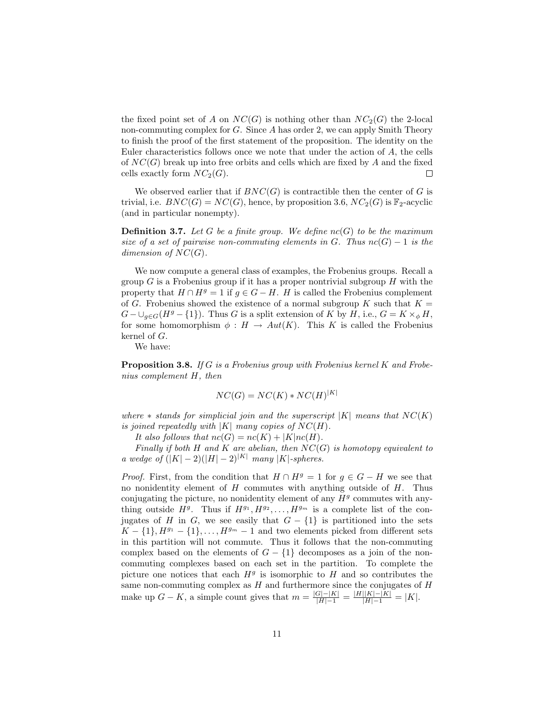the fixed point set of A on  $NC(G)$  is nothing other than  $NC_2(G)$  the 2-local non-commuting complex for  $G$ . Since  $A$  has order 2, we can apply Smith Theory to finish the proof of the first statement of the proposition. The identity on the Euler characteristics follows once we note that under the action of  $A$ , the cells of  $NC(G)$  break up into free orbits and cells which are fixed by A and the fixed cells exactly form  $NC_2(G)$ .  $\Box$ 

We observed earlier that if  $BNC(G)$  is contractible then the center of G is trivial, i.e.  $BNC(G) = NC(G)$ , hence, by proposition 3.6,  $NC_2(G)$  is  $\mathbb{F}_2$ -acyclic (and in particular nonempty).

**Definition 3.7.** Let G be a finite group. We define  $nc(G)$  to be the maximum size of a set of pairwise non-commuting elements in G. Thus  $nc(G) - 1$  is the dimension of  $NC(G)$ .

We now compute a general class of examples, the Frobenius groups. Recall a group  $G$  is a Frobenius group if it has a proper nontrivial subgroup  $H$  with the property that  $H \cap H^g = 1$  if  $g \in G - H$ . H is called the Frobenius complement of G. Frobenius showed the existence of a normal subgroup K such that  $K =$  $G - \bigcup_{q \in G} (H^g - \{1\})$ . Thus G is a split extension of K by H, i.e.,  $G = K \times_{\phi} H$ , for some homomorphism  $\phi : H \to Aut(K)$ . This K is called the Frobenius kernel of G.

We have:

Proposition 3.8. If G is a Frobenius group with Frobenius kernel K and Frobenius complement H, then

$$
NC(G) = NC(K) * NC(H)^{|K|}
$$

where  $*$  stands for simplicial join and the superscript  $|K|$  means that  $NC(K)$ is joined repeatedly with  $|K|$  many copies of  $NC(H)$ .

It also follows that  $nc(G) = nc(K) + |K|nc(H)$ .

Finally if both H and K are abelian, then  $NC(G)$  is homotopy equivalent to a wedge of  $(|K| - 2)(|H| - 2)^{|K|}$  many  $|K|$ -spheres.

*Proof.* First, from the condition that  $H \cap H^g = 1$  for  $g \in G - H$  we see that no nonidentity element of  $H$  commutes with anything outside of  $H$ . Thus conjugating the picture, no nonidentity element of any  $H<sup>g</sup>$  commutes with anything outside  $H^g$ . Thus if  $H^{g_1}, H^{g_2}, \ldots, H^{g_m}$  is a complete list of the conjugates of H in G, we see easily that  $G - \{1\}$  is partitioned into the sets  $K - \{1\}, H^{g_1} - \{1\}, \ldots, H^{g_m} - 1$  and two elements picked from different sets in this partition will not commute. Thus it follows that the non-commuting complex based on the elements of  $G - \{1\}$  decomposes as a join of the noncommuting complexes based on each set in the partition. To complete the picture one notices that each  $H<sup>g</sup>$  is isomorphic to H and so contributes the same non-commuting complex as  $H$  and furthermore since the conjugates of  $H$ make up  $G - K$ , a simple count gives that  $m = \frac{|G| - |K|}{|H| - 1} = \frac{|H||K| - |K|}{|H| - 1} = |K|$ .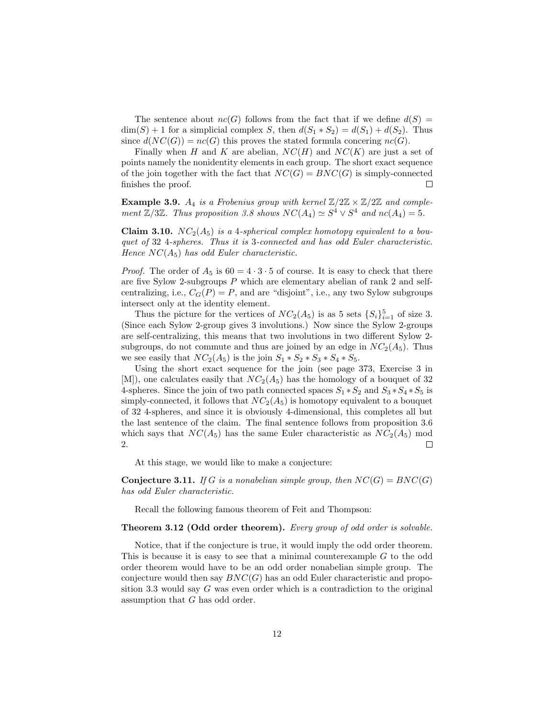The sentence about  $nc(G)$  follows from the fact that if we define  $d(S)$  =  $\dim(S) + 1$  for a simplicial complex S, then  $d(S_1 * S_2) = d(S_1) + d(S_2)$ . Thus since  $d(NC(G)) = nc(G)$  this proves the stated formula concering  $nc(G)$ .

Finally when H and K are abelian,  $NC(H)$  and  $NC(K)$  are just a set of points namely the nonidentity elements in each group. The short exact sequence of the join together with the fact that  $NC(G) = BNC(G)$  is simply-connected finishes the proof.  $\Box$ 

**Example 3.9.**  $A_4$  is a Frobenius group with kernel  $\mathbb{Z}/2\mathbb{Z} \times \mathbb{Z}/2\mathbb{Z}$  and complement  $\mathbb{Z}/3\mathbb{Z}$ . Thus proposition 3.8 shows  $NC(A_4) \simeq S^4 \vee S^4$  and  $nc(A_4) = 5$ .

**Claim 3.10.**  $NC_2(A_5)$  is a 4-spherical complex homotopy equivalent to a bouquet of 32 4-spheres. Thus it is 3-connected and has odd Euler characteristic. Hence  $NC(A_5)$  has odd Euler characteristic.

*Proof.* The order of  $A_5$  is  $60 = 4 \cdot 3 \cdot 5$  of course. It is easy to check that there are five Sylow 2-subgroups P which are elementary abelian of rank 2 and selfcentralizing, i.e.,  $C_G(P) = P$ , and are "disjoint", i.e., any two Sylow subgroups intersect only at the identity element.

Thus the picture for the vertices of  $NC_2(A_5)$  is as 5 sets  $\{S_i\}_{i=1}^5$  of size 3. (Since each Sylow 2-group gives 3 involutions.) Now since the Sylow 2-groups are self-centralizing, this means that two involutions in two different Sylow 2 subgroups, do not commute and thus are joined by an edge in  $NC_2(A_5)$ . Thus we see easily that  $NC_2(A_5)$  is the join  $S_1 * S_2 * S_3 * S_4 * S_5$ .

Using the short exact sequence for the join (see page 373, Exercise 3 in [M]), one calculates easily that  $NC_2(A_5)$  has the homology of a bouquet of 32 4-spheres. Since the join of two path connected spaces  $S_1 * S_2$  and  $S_3 * S_4 * S_5$  is simply-connected, it follows that  $NC_2(A_5)$  is homotopy equivalent to a bouquet of 32 4-spheres, and since it is obviously 4-dimensional, this completes all but the last sentence of the claim. The final sentence follows from proposition 3.6 which says that  $NC(A_5)$  has the same Euler characteristic as  $NC_2(A_5)$  mod 2.  $\Box$ 

At this stage, we would like to make a conjecture:

**Conjecture 3.11.** If G is a nonabelian simple group, then  $NC(G) = BNC(G)$ has odd Euler characteristic.

Recall the following famous theorem of Feit and Thompson:

#### Theorem 3.12 (Odd order theorem). Every group of odd order is solvable.

Notice, that if the conjecture is true, it would imply the odd order theorem. This is because it is easy to see that a minimal counterexample G to the odd order theorem would have to be an odd order nonabelian simple group. The conjecture would then say  $BNC(G)$  has an odd Euler characteristic and proposition 3.3 would say G was even order which is a contradiction to the original assumption that G has odd order.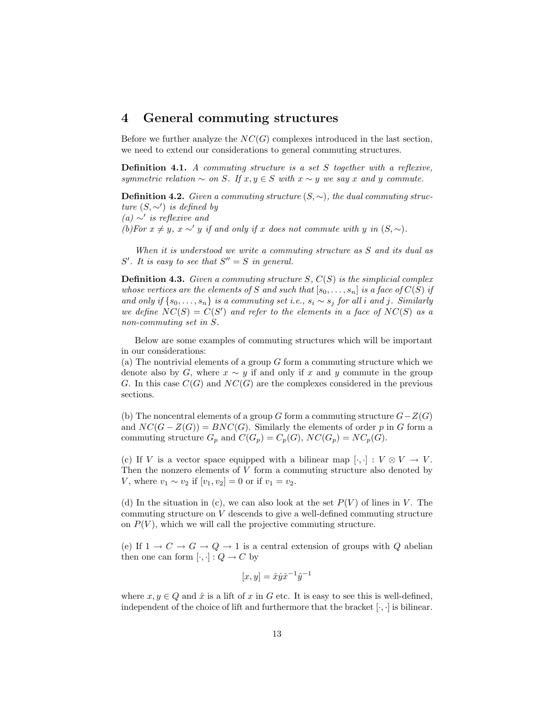### 4 General commuting structures

Before we further analyze the  $NC(G)$  complexes introduced in the last section, we need to extend our considerations to general commuting structures.

Definition 4.1. A commuting structure is a set S together with a reflexive, symmetric relation  $\sim$  on S. If  $x, y \in S$  with  $x \sim y$  we say x and y commute.

**Definition 4.2.** Given a commuting structure  $(S, \sim)$ , the dual commuting structure  $(S, \sim')$  is defined by (a)  $∼'$  is reflexive and

(b)For  $x \neq y$ ,  $x \sim' y$  if and only if x does not commute with y in  $(S, \sim)$ .

When it is understood we write a commuting structure as S and its dual as  $S'$ . It is easy to see that  $S'' = S$  in general.

**Definition 4.3.** Given a commuting structure  $S$ ,  $C(S)$  is the simplicial complex whose vertices are the elements of S and such that  $[s_0, \ldots, s_n]$  is a face of  $C(S)$  if and only if  $\{s_0, \ldots, s_n\}$  is a commuting set i.e.,  $s_i \sim s_j$  for all i and j. Similarly we define  $NC(S) = C(S')$  and refer to the elements in a face of  $NC(S)$  as a non-commuting set in S.

Below are some examples of commuting structures which will be important in our considerations:

(a) The nontrivial elements of a group  $G$  form a commuting structure which we denote also by G, where  $x \sim y$  if and only if x and y commute in the group G. In this case  $C(G)$  and  $NC(G)$  are the complexes considered in the previous sections.

(b) The noncentral elements of a group G form a commuting structure  $G-Z(G)$ and  $NC(G - Z(G)) = BNC(G)$ . Similarly the elements of order p in G form a commuting structure  $G_p$  and  $C(G_p) = C_p(G)$ ,  $NC(G_p) = NC_p(G)$ .

(c) If V is a vector space equipped with a bilinear map  $[\cdot, \cdot] : V \otimes V \to V$ . Then the nonzero elements of  $V$  form a commuting structure also denoted by *V*, where  $v_1 \sim v_2$  if  $[v_1, v_2] = 0$  or if  $v_1 = v_2$ .

(d) In the situation in (c), we can also look at the set  $P(V)$  of lines in V. The commuting structure on V descends to give a well-defined commuting structure on  $P(V)$ , which we will call the projective commuting structure.

(e) If  $1 \rightarrow C \rightarrow G \rightarrow Q \rightarrow 1$  is a central extension of groups with Q abelian then one can form  $[\cdot, \cdot] : Q \to C$  by

$$
[x, y] = \hat{x} \hat{y} \hat{x}^{-1} \hat{y}^{-1}
$$

where  $x, y \in Q$  and  $\hat{x}$  is a lift of x in G etc. It is easy to see this is well-defined, independent of the choice of lift and furthermore that the bracket  $[\cdot, \cdot]$  is bilinear.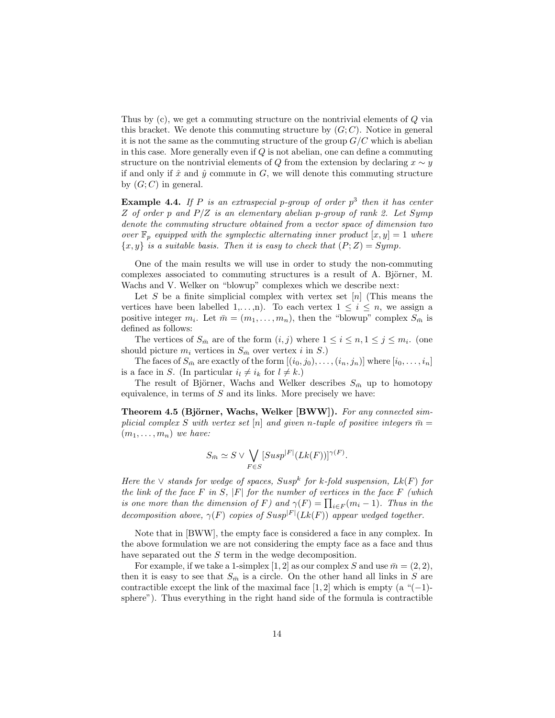Thus by (c), we get a commuting structure on the nontrivial elements of Q via this bracket. We denote this commuting structure by  $(G; C)$ . Notice in general it is not the same as the commuting structure of the group  $G/C$  which is abelian in this case. More generally even if  $Q$  is not abelian, one can define a commuting structure on the nontrivial elements of Q from the extension by declaring  $x \sim y$ if and only if  $\hat{x}$  and  $\hat{y}$  commute in G, we will denote this commuting structure by  $(G; C)$  in general.

**Example 4.4.** If P is an extraspecial p-group of order  $p^3$  then it has center Z of order p and  $P/Z$  is an elementary abelian p-group of rank 2. Let Symp denote the commuting structure obtained from a vector space of dimension two over  $\mathbb{F}_p$  equipped with the symplectic alternating inner product  $[x, y] = 1$  where  ${x, y}$  is a suitable basis. Then it is easy to check that  $(P, Z) = Symp$ .

One of the main results we will use in order to study the non-commuting complexes associated to commuting structures is a result of A. Björner, M. Wachs and V. Welker on "blowup" complexes which we describe next:

Let S be a finite simplicial complex with vertex set  $[n]$  (This means the vertices have been labelled 1,...,n). To each vertex  $1 \leq i \leq n$ , we assign a positive integer  $m_i$ . Let  $\bar{m} = (m_1, \ldots, m_n)$ , then the "blowup" complex  $S_{\bar{m}}$  is defined as follows:

The vertices of  $S_{\bar{m}}$  are of the form  $(i, j)$  where  $1 \leq i \leq n, 1 \leq j \leq m_i$ . (one should picture  $m_i$  vertices in  $S_{\bar{m}}$  over vertex i in S.)

The faces of  $S_{\bar{m}}$  are exactly of the form  $[(i_0, j_0), \ldots, (i_n, j_n)]$  where  $[i_0, \ldots, i_n]$ is a face in S. (In particular  $i_l \neq i_k$  for  $l \neq k$ .)

The result of Björner, Wachs and Welker describes  $S_{\bar{m}}$  up to homotopy equivalence, in terms of  $S$  and its links. More precisely we have:

Theorem 4.5 (Björner, Wachs, Welker [BWW]). For any connected simplicial complex S with vertex set [n] and given n-tuple of positive integers  $\bar{m} =$  $(m_1, \ldots, m_n)$  we have:

$$
S_{\bar{m}} \simeq S \vee \bigvee_{F \in S} [Susp|F| (Lk(F))]^{\gamma(F)}.
$$

Here the  $\vee$  stands for wedge of spaces, Susp<sup>k</sup> for k-fold suspension,  $Lk(F)$  for the link of the face  $F$  in  $S$ ,  $|F|$  for the number of vertices in the face  $F$  (which the unk of the face  $F$  in  $S$ ,  $|F|$  for the number of vertices in the face  $F$  (which<br>is one more than the dimension of  $F$ ) and  $\gamma(F) = \prod_{i \in F} (m_i - 1)$ . Thus in the decomposition above,  $\gamma(F)$  copies of  $Susp^{|F|}(Lk(F))$  appear wedged together.

Note that in [BWW], the empty face is considered a face in any complex. In the above formulation we are not considering the empty face as a face and thus have separated out the S term in the wedge decomposition.

For example, if we take a 1-simplex [1, 2] as our complex S and use  $\bar{m} = (2, 2)$ , then it is easy to see that  $S_{\bar{m}}$  is a circle. On the other hand all links in S are contractible except the link of the maximal face [1, 2] which is empty (a " $(-1)$ sphere"). Thus everything in the right hand side of the formula is contractible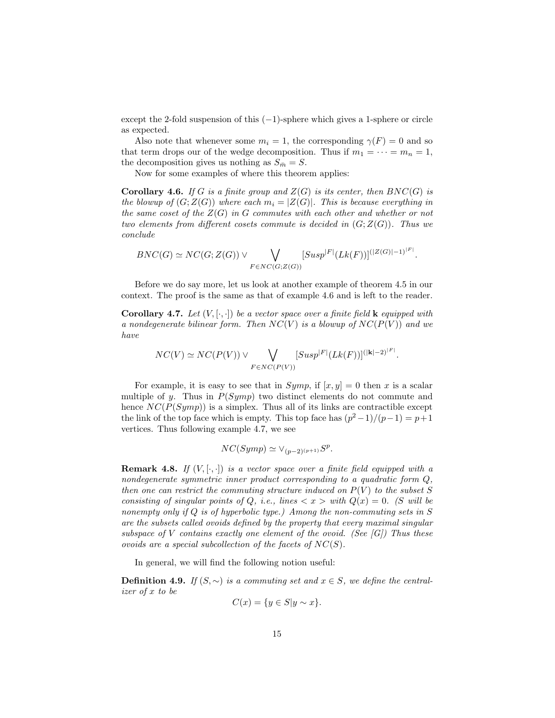except the 2-fold suspension of this  $(-1)$ -sphere which gives a 1-sphere or circle as expected.

Also note that whenever some  $m_i = 1$ , the corresponding  $\gamma(F) = 0$  and so that term drops our of the wedge decomposition. Thus if  $m_1 = \cdots = m_n = 1$ , the decomposition gives us nothing as  $S_{\bar{m}} = S$ .

Now for some examples of where this theorem applies:

**Corollary 4.6.** If G is a finite group and  $Z(G)$  is its center, then  $BNC(G)$  is the blowup of  $(G;Z(G))$  where each  $m_i = |Z(G)|$ . This is because everything in the same coset of the  $Z(G)$  in G commutes with each other and whether or not two elements from different cosets commute is decided in  $(G, Z(G))$ . Thus we conclude

$$
BNC(G) \simeq NC(G; Z(G)) \vee \bigvee_{F \in NC(G; Z(G))} [Susp|F|(Lk(F))]^{(|Z(G)|-1)^{|F|}}.
$$

Before we do say more, let us look at another example of theorem 4.5 in our context. The proof is the same as that of example 4.6 and is left to the reader.

**Corollary 4.7.** Let  $(V, [\cdot, \cdot])$  be a vector space over a finite field **k** equipped with a nondegenerate bilinear form. Then  $NC(V)$  is a blowup of  $NC(P(V))$  and we have

$$
NC(V) \simeq NC(P(V)) \vee \bigvee_{F \in NC(P(V))} [Susp|F| (Lk(F))]^{(|{\bf k}|-2)^{|F|}}.
$$

For example, it is easy to see that in  $Symp$ , if  $[x, y] = 0$  then x is a scalar multiple of y. Thus in  $P(Symp)$  two distinct elements do not commute and hence  $NC(P(Symp))$  is a simplex. Thus all of its links are contractible except the link of the top face which is empty. This top face has  $(p^2-1)/(p-1) = p+1$ vertices. Thus following example 4.7, we see

$$
NC(Symp) \simeq \vee_{(p-2)^{(p+1)}} S^p.
$$

**Remark 4.8.** If  $(V, [\cdot, \cdot])$  is a vector space over a finite field equipped with a nondegenerate symmetric inner product corresponding to a quadratic form  $Q$ , then one can restrict the commuting structure induced on  $P(V)$  to the subset S consisting of singular points of Q, i.e., lines  $\langle x \rangle$  with  $Q(x) = 0$ . (S will be nonempty only if  $Q$  is of hyperbolic type.) Among the non-commuting sets in  $S$ are the subsets called ovoids defined by the property that every maximal singular subspace of V contains exactly one element of the ovoid. (See  $|G|$ ) Thus these ovoids are a special subcollection of the facets of  $NC(S)$ .

In general, we will find the following notion useful:

**Definition 4.9.** If  $(S, ∼)$  is a commuting set and  $x ∈ S$ , we define the centralizer of x to be

$$
C(x) = \{ y \in S | y \sim x \}.
$$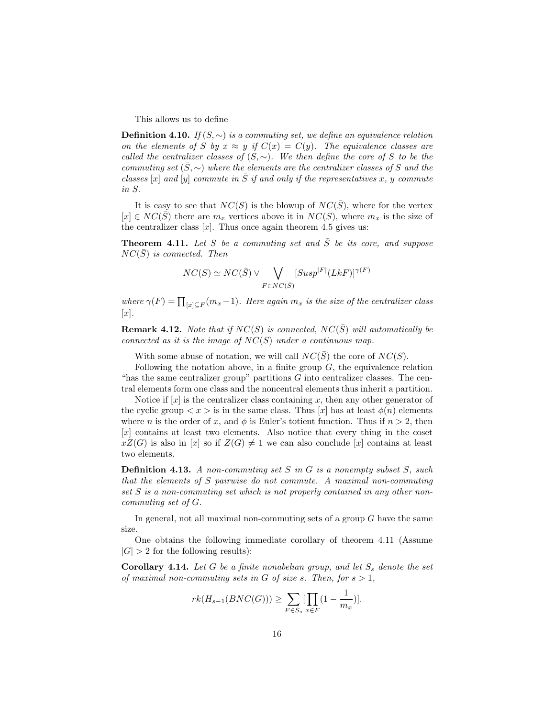This allows us to define

**Definition 4.10.** If  $(S, \sim)$  is a commuting set, we define an equivalence relation on the elements of S by  $x \approx y$  if  $C(x) = C(y)$ . The equivalence classes are called the centralizer classes of  $(S, \sim)$ . We then define the core of S to be the commuting set  $(S, \sim)$  where the elements are the centralizer classes of S and the classes [x] and [y] commute in  $\overline{S}$  if and only if the representatives x, y commute in S.

It is easy to see that  $NC(S)$  is the blowup of  $NC(\bar{S})$ , where for the vertex  $[x] \in NC(\bar{S})$  there are  $m_x$  vertices above it in  $NC(S)$ , where  $m_x$  is the size of the centralizer class  $[x]$ . Thus once again theorem 4.5 gives us:

**Theorem 4.11.** Let S be a commuting set and  $\overline{S}$  be its core, and suppose  $NC(S)$  is connected. Then

$$
NC(S) \simeq NC(\bar{S}) \vee \bigvee_{F \in NC(\bar{S})} [Susp|F|(LkF)]^{\gamma(F)}
$$

where  $\gamma(F) = \prod_{[x] \subseteq F} (m_x - 1)$ . Here again  $m_x$  is the size of the centralizer class  $[x]$ .

**Remark 4.12.** Note that if  $NC(S)$  is connected,  $NC(S)$  will automatically be connected as it is the image of  $NC(S)$  under a continuous map.

With some abuse of notation, we will call  $NC(S)$  the core of  $NC(S)$ .

Following the notation above, in a finite group  $G$ , the equivalence relation "has the same centralizer group" partitions  $G$  into centralizer classes. The central elements form one class and the noncentral elements thus inherit a partition.

Notice if  $[x]$  is the centralizer class containing x, then any other generator of the cyclic group  $\langle x \rangle$  is in the same class. Thus [x] has at least  $\phi(n)$  elements where n is the order of x, and  $\phi$  is Euler's totient function. Thus if  $n > 2$ , then  $[x]$  contains at least two elements. Also notice that every thing in the coset  $xZ(G)$  is also in [x] so if  $Z(G) \neq 1$  we can also conclude [x] contains at least two elements.

**Definition 4.13.** A non-commuting set S in G is a nonempty subset S, such that the elements of S pairwise do not commute. A maximal non-commuting set S is a non-commuting set which is not properly contained in any other noncommuting set of G.

In general, not all maximal non-commuting sets of a group G have the same size.

One obtains the following immediate corollary of theorem 4.11 (Assume  $|G| > 2$  for the following results):

**Corollary 4.14.** Let G be a finite nonabelian group, and let  $S_s$  denote the set of maximal non-commuting sets in G of size s. Then, for  $s > 1$ ,

$$
rk(H_{s-1}(BNC(G))) \ge \sum_{F \in S_s} [\prod_{x \in F} (1 - \frac{1}{m_x})].
$$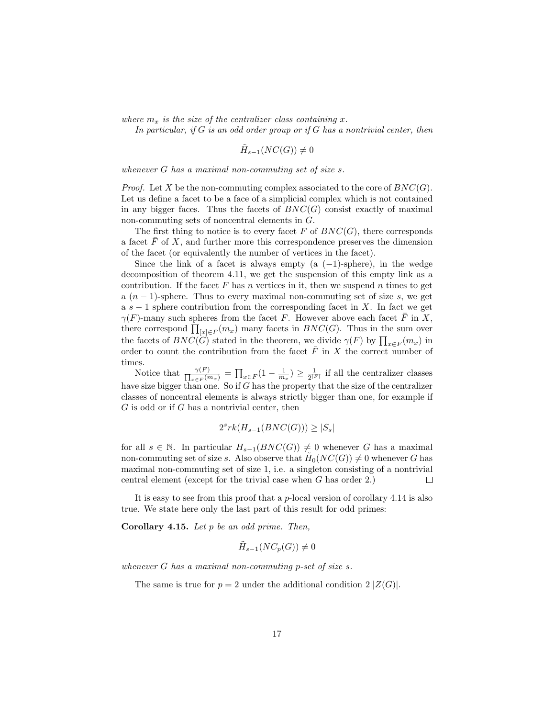where  $m_x$  is the size of the centralizer class containing x.

In particular, if  $G$  is an odd order group or if  $G$  has a nontrivial center, then

$$
\tilde{H}_{s-1}(NC(G)) \neq 0
$$

whenever G has a maximal non-commuting set of size s.

*Proof.* Let X be the non-commuting complex associated to the core of  $BNC(G)$ . Let us define a facet to be a face of a simplicial complex which is not contained in any bigger faces. Thus the facets of  $BNC(G)$  consist exactly of maximal non-commuting sets of noncentral elements in G.

The first thing to notice is to every facet F of  $BNC(G)$ , there corresponds a facet  $F$  of  $X$ , and further more this correspondence preserves the dimension of the facet (or equivalently the number of vertices in the facet).

Since the link of a facet is always empty (a  $(-1)$ -sphere), in the wedge decomposition of theorem 4.11, we get the suspension of this empty link as a contribution. If the facet  $F$  has  $n$  vertices in it, then we suspend  $n$  times to get a  $(n-1)$ -sphere. Thus to every maximal non-commuting set of size s, we get a  $s-1$  sphere contribution from the corresponding facet in X. In fact we get  $\gamma(F)$ -many such spheres from the facet F. However above each facet F in X,  $\gamma(F)$ -many such spheres from the facet F. However above each facet F in  $\Lambda$ ,<br>there correspond  $\prod_{[x]\in \bar{F}}(m_x)$  many facets in  $BNC(G)$ . Thus in the sum over there correspond  $\prod_{[x]\in F}(mx)$  many facets in  $BNC(G)$ . Thus in the sum over<br>the facets of  $BNC(G)$  stated in the theorem, we divide  $\gamma(F)$  by  $\prod_{x\in F}(m_x)$  in order to count the contribution from the facet  $\overline{F}$  in X the correct number of times.

Notice that  $\frac{\gamma(F)}{\prod_{\substack{F|n}}$  $\frac{\gamma(F)}{x \in F(m_x)} = \prod$  $\lambda_{x\in F}(1-\frac{1}{m_x}) \geq \frac{1}{2^{|F|}}$  if all the centralizer classes have size bigger than one. So if G has the property that the size of the centralizer classes of noncentral elements is always strictly bigger than one, for example if  $G$  is odd or if  $G$  has a nontrivial center, then

$$
2srk(H_{s-1}(BNC(G))) \ge |S_s|
$$

for all  $s \in \mathbb{N}$ . In particular  $H_{s-1}(BNC(G)) \neq 0$  whenever G has a maximal non-commuting set of size s. Also observe that  $\widetilde{H}_0(NC(G)) \neq 0$  whenever G has maximal non-commuting set of size 1, i.e. a singleton consisting of a nontrivial central element (except for the trivial case when G has order 2.)  $\Box$ 

It is easy to see from this proof that a  $p$ -local version of corollary 4.14 is also true. We state here only the last part of this result for odd primes:

Corollary 4.15. Let  $p$  be an odd prime. Then,

$$
\tilde{H}_{s-1}(NC_p(G)) \neq 0
$$

whenever G has a maximal non-commuting p-set of size s.

The same is true for  $p = 2$  under the additional condition  $2||Z(G)|$ .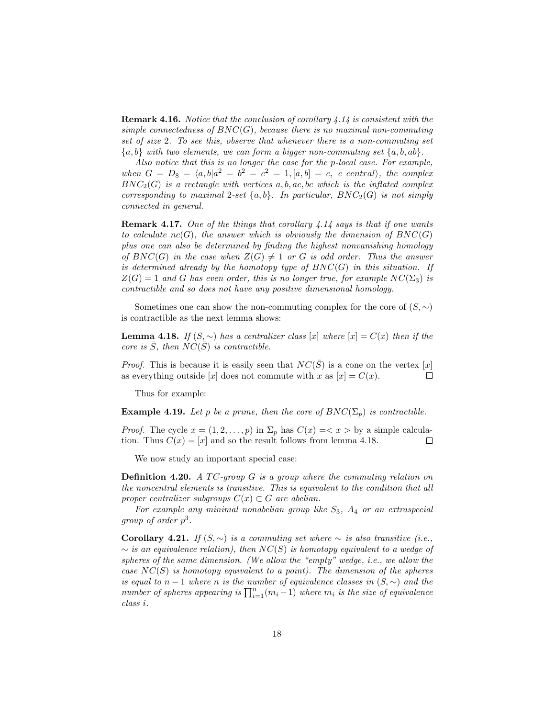Remark 4.16. Notice that the conclusion of corollary 4.14 is consistent with the simple connectedness of  $BNC(G)$ , because there is no maximal non-commuting set of size 2. To see this, observe that whenever there is a non-commuting set  ${a, b}$  with two elements, we can form a bigger non-commuting set  ${a, b, ab}$ .

Also notice that this is no longer the case for the p-local case. For example, when  $G = D_8 = \langle a, b | a^2 = b^2 = c^2 = 1, [a, b] = c$ , c central), the complex  $BNC_2(G)$  is a rectangle with vertices a, b, ac, bc which is the inflated complex corresponding to maximal 2-set  $\{a, b\}$ . In particular,  $BNC_2(G)$  is not simply connected in general.

Remark 4.17. One of the things that corollary 4.14 says is that if one wants to calculate  $nc(G)$ , the answer which is obviously the dimension of  $BNC(G)$ plus one can also be determined by finding the highest nonvanishing homology of  $BNC(G)$  in the case when  $Z(G) \neq 1$  or G is odd order. Thus the answer is determined already by the homotopy type of  $BNC(G)$  in this situation. If  $Z(G) = 1$  and G has even order, this is no longer true, for example  $NC(\Sigma_3)$  is contractible and so does not have any positive dimensional homology.

Sometimes one can show the non-commuting complex for the core of  $(S, \sim)$ is contractible as the next lemma shows:

**Lemma 4.18.** If  $(S, \sim)$  has a centralizer class [x] where  $[x] = C(x)$  then if the core is  $\overline{S}$ , then  $NC(\overline{S})$  is contractible.

*Proof.* This is because it is easily seen that  $NC(S)$  is a cone on the vertex [x] as everything outside [x] does not commute with x as  $[x] = C(x)$ .  $\Box$ 

Thus for example:

**Example 4.19.** Let p be a prime, then the core of  $BNC(\Sigma_p)$  is contractible.

*Proof.* The cycle  $x = (1, 2, ..., p)$  in  $\Sigma_p$  has  $C(x) = \langle x \rangle$  by a simple calculation. Thus  $C(x) = |x|$  and so the result follows from lemma 4.18.  $\Box$ 

We now study an important special case:

**Definition 4.20.** A TC-group G is a group where the commuting relation on the noncentral elements is transitive. This is equivalent to the condition that all proper centralizer subgroups  $C(x) \subset G$  are abelian.

For example any minimal nonabelian group like  $S_3$ ,  $A_4$  or an extraspecial group of order  $p^3$ .

Corollary 4.21. If  $(S, ∼)$  is a commuting set where  $∼$  is also transitive (i.e.,  $\sim$  is an equivalence relation), then NC(S) is homotopy equivalent to a wedge of spheres of the same dimension. (We allow the "empty" wedge, i.e., we allow the case  $NC(S)$  is homotopy equivalent to a point). The dimension of the spheres is equal to  $n-1$  where n is the number of equivalence classes in  $(S, \sim)$  and the is equal to  $n-1$  where n is the number of equivalence classes in  $(S, \sim)$  and the number of spheres appearing is  $\prod_{i=1}^{n} (m_i - 1)$  where  $m_i$  is the size of equivalence class i.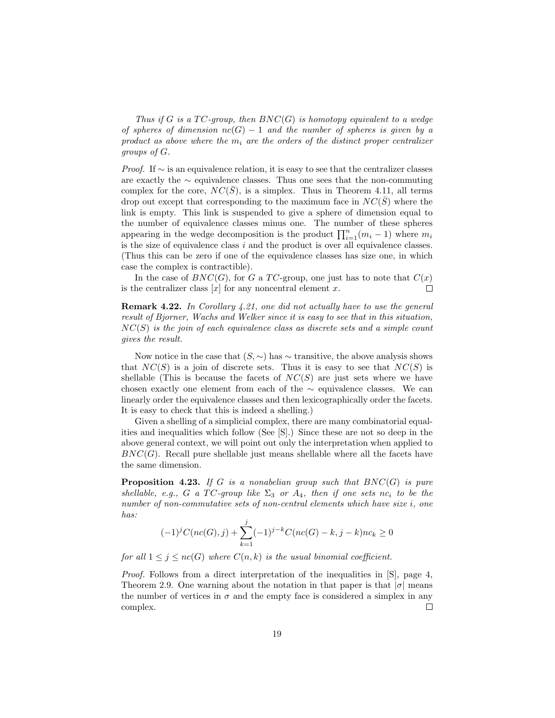Thus if G is a  $TC$ -group, then  $BNC(G)$  is homotopy equivalent to a wedge of spheres of dimension  $nc(G) - 1$  and the number of spheres is given by a product as above where the  $m_i$  are the orders of the distinct proper centralizer groups of G.

*Proof.* If  $\sim$  is an equivalence relation, it is easy to see that the centralizer classes are exactly the ∼ equivalence classes. Thus one sees that the non-commuting complex for the core,  $NC(\bar{S})$ , is a simplex. Thus in Theorem 4.11, all terms drop out except that corresponding to the maximum face in  $NC(S)$  where the link is empty. This link is suspended to give a sphere of dimension equal to the number of equivalence classes minus one. The number of these spheres appearing in the wedge decomposition is the product  $\prod_{i=1}^{n} (m_i - 1)$  where  $m_i$ is the size of equivalence class  $i$  and the product is over all equivalence classes. (Thus this can be zero if one of the equivalence classes has size one, in which case the complex is contractible).

In the case of  $BNC(G)$ , for G a TC-group, one just has to note that  $C(x)$ is the centralizer class  $[x]$  for any noncentral element x.  $\Box$ 

Remark 4.22. In Corollary 4.21, one did not actually have to use the general result of Bjorner, Wachs and Welker since it is easy to see that in this situation,  $NC(S)$  is the join of each equivalence class as discrete sets and a simple count gives the result.

Now notice in the case that  $(S, \sim)$  has  $\sim$  transitive, the above analysis shows that  $NC(S)$  is a join of discrete sets. Thus it is easy to see that  $NC(S)$  is shellable (This is because the facets of  $NC(S)$  are just sets where we have chosen exactly one element from each of the  $\sim$  equivalence classes. We can linearly order the equivalence classes and then lexicographically order the facets. It is easy to check that this is indeed a shelling.)

Given a shelling of a simplicial complex, there are many combinatorial equalities and inequalities which follow (See [S].) Since these are not so deep in the above general context, we will point out only the interpretation when applied to  $BNC(G)$ . Recall pure shellable just means shellable where all the facets have the same dimension.

**Proposition 4.23.** If G is a nonabelian group such that  $BNC(G)$  is pure shellable, e.g., G a TC-group like  $\Sigma_3$  or  $A_4$ , then if one sets nc<sub>i</sub> to be the number of non-commutative sets of non-central elements which have size i, one has:

$$
(-1)^{j}C(nc(G), j) + \sum_{k=1}^{j} (-1)^{j-k}C(nc(G) - k, j - k)nc_{k} \ge 0
$$

for all  $1 \leq j \leq nc(G)$  where  $C(n, k)$  is the usual binomial coefficient.

Proof. Follows from a direct interpretation of the inequalities in [S], page 4, Theorem 2.9. One warning about the notation in that paper is that  $|\sigma|$  means the number of vertices in  $\sigma$  and the empty face is considered a simplex in any complex.  $\Box$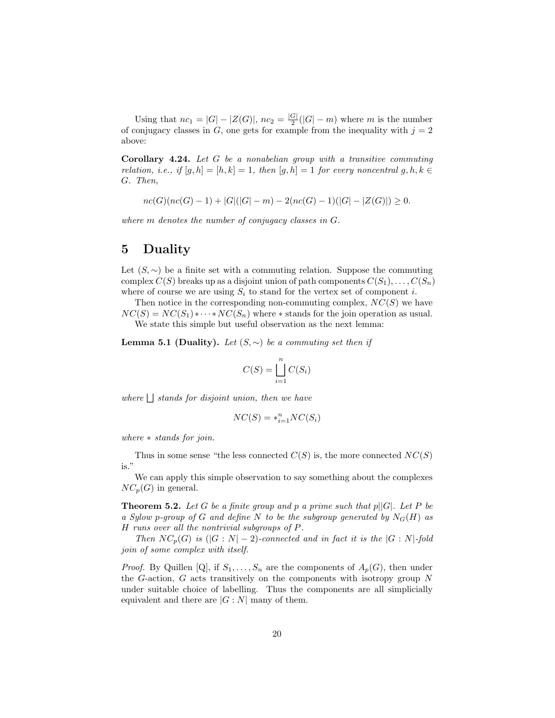Using that  $nc_1 = |G| - |Z(G)|$ ,  $nc_2 = \frac{|G|}{2}$  $\frac{G}{2}(|G|-m)$  where m is the number of conjugacy classes in G, one gets for example from the inequality with  $j = 2$ above:

Corollary 4.24. Let  $G$  be a nonabelian group with a transitive commuting relation, i.e., if  $[g, h] = [h, k] = 1$ , then  $[g, h] = 1$  for every noncentral  $g, h, k \in$ G. Then,

 $nc(G)(nc(G) - 1) + |G|(|G| - m) - 2(nc(G) - 1)(|G| - |Z(G)|) \ge 0.$ 

where m denotes the number of conjugacy classes in G.

### 5 Duality

Let  $(S, \sim)$  be a finite set with a commuting relation. Suppose the commuting complex  $C(S)$  breaks up as a disjoint union of path components  $C(S_1), \ldots, C(S_n)$ where of course we are using  $S_i$  to stand for the vertex set of component i.

Then notice in the corresponding non-commuting complex,  $NC(S)$  we have  $NC(S) = NC(S_1) * \cdots * NC(S_n)$  where  $*$  stands for the join operation as usual. We state this simple but useful observation as the next lemma:

**Lemma 5.1 (Duality).** Let  $(S, \sim)$  be a commuting set then if

$$
C(S) = \bigsqcup_{i=1}^{n} C(S_i)
$$

 $where \mid \cdot \mid stands for disjoint union, then we have$ 

$$
NC(S) = *_{i=1}^{n} NC(S_i)
$$

where ∗ stands for join.

Thus in some sense "the less connected  $C(S)$  is, the more connected  $NC(S)$ is."

We can apply this simple observation to say something about the complexes  $NC_p(G)$  in general.

**Theorem 5.2.** Let G be a finite group and p a prime such that  $p||G|$ . Let P be a Sylow p-group of G and define N to be the subgroup generated by  $N_G(H)$  as H runs over all the nontrivial subgroups of P.

Then  $NC_p(G)$  is  $(|G:N|-2)$ -connected and in fact it is the  $|G:N|$ -fold join of some complex with itself.

*Proof.* By Quillen [Q], if  $S_1, \ldots, S_n$  are the components of  $A_p(G)$ , then under the G-action, G acts transitively on the components with isotropy group N under suitable choice of labelling. Thus the components are all simplicially equivalent and there are  $|G: N|$  many of them.